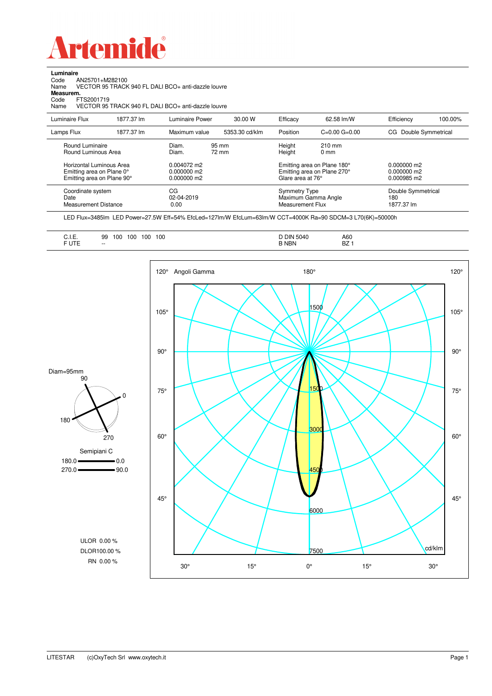

**Luminaire**

| Code<br>AN25701+M282100<br>Name<br>Measurem.<br>FTS2001719<br>Code<br>Name          |            | VECTOR 95 TRACK 940 FL DALI BCO+ anti-dazzle louvre<br>VECTOR 95 TRACK 940 FL DALI BCO+ anti-dazzle louvre |                |                                                 |                                                            |                                               |                    |
|-------------------------------------------------------------------------------------|------------|------------------------------------------------------------------------------------------------------------|----------------|-------------------------------------------------|------------------------------------------------------------|-----------------------------------------------|--------------------|
| Luminaire Flux                                                                      | 1877.37 lm | Luminaire Power                                                                                            | 30.00 W        | Efficacy                                        | 62.58 lm/W                                                 | Efficiency                                    | 100.00%            |
| Lamps Flux                                                                          | 1877.37 lm | Maximum value                                                                                              | 5353.30 cd/klm | Position                                        | $C=0.00$ $G=0.00$                                          | CG.                                           | Double Symmetrical |
| Round Luminaire<br>Round Luminous Area                                              |            | Diam.<br>Diam.                                                                                             | 95 mm<br>72 mm | Height<br>Height                                | 210 mm<br>0 <sub>mm</sub>                                  |                                               |                    |
| Horizontal Luminous Area<br>Emitting area on Plane 0°<br>Emitting area on Plane 90° |            | 0.004072 m2<br>0.000000 m2<br>0.000000 m2                                                                  |                | Glare area at 76°                               | Emitting area on Plane 180°<br>Emitting area on Plane 270° | $0.000000$ m2<br>$0.000000$ m2<br>0.000985 m2 |                    |
| Coordinate system<br>Date<br><b>Measurement Distance</b>                            |            | CG<br>02-04-2019<br>0.00                                                                                   |                | <b>Symmetry Type</b><br><b>Measurement Flux</b> | Maximum Gamma Angle                                        | Double Symmetrical<br>180<br>1877.37 lm       |                    |

LED Flux=3485lm LED Power=27.5W Eff=54% EfcLed=127lm/W EfcLum=63lm/W CCT=4000K Ra=90 SDCM=3 L70(6K)=50000h